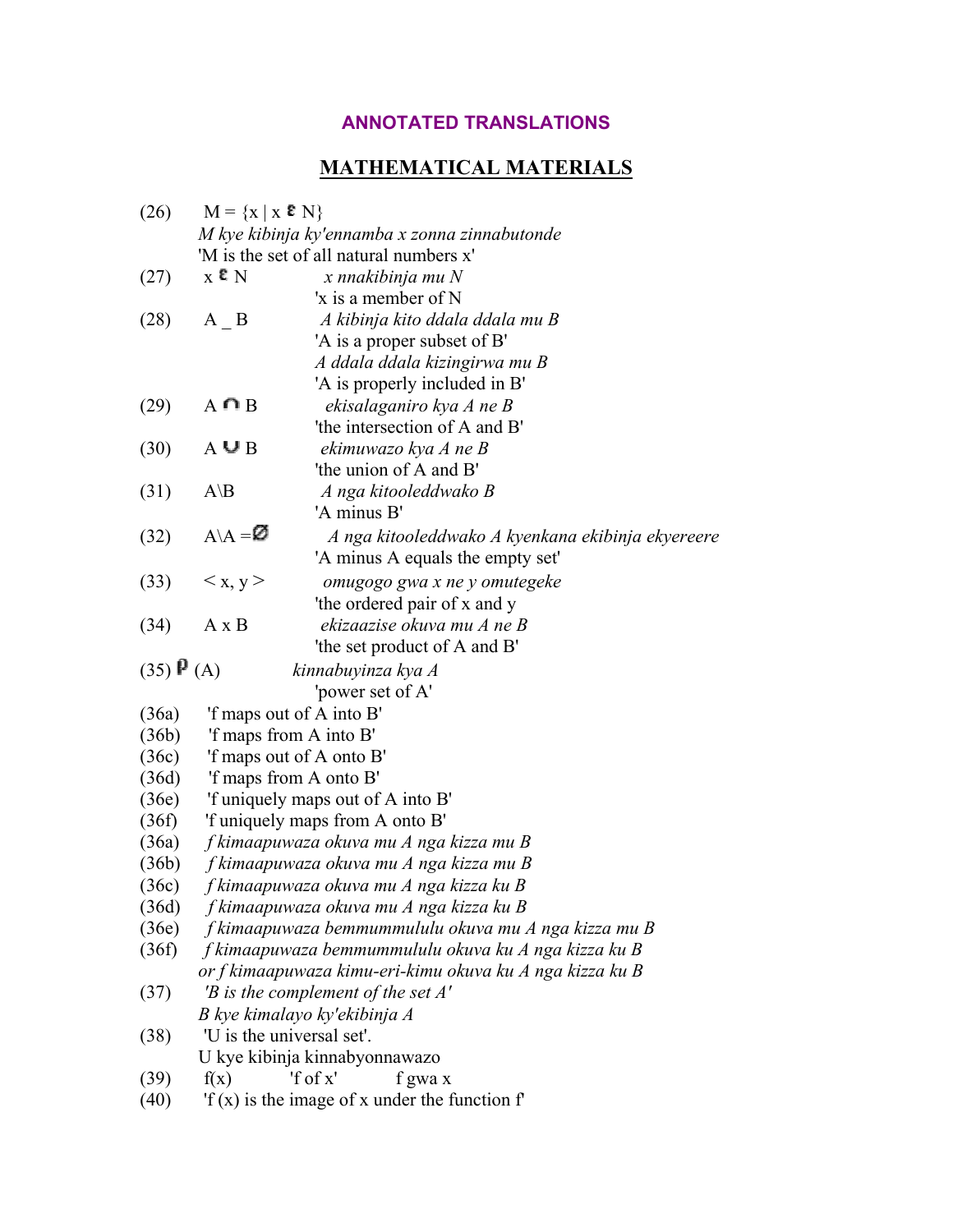# **ANNOTATED TRANSLATIONS**

# **MATHEMATICAL MATERIALS**

| (26)                    | $M = \{x \mid x \in N\}$                             |                                                                        |  |  |  |
|-------------------------|------------------------------------------------------|------------------------------------------------------------------------|--|--|--|
|                         | M kye kibinja ky'ennamba x zonna zinnabutonde        |                                                                        |  |  |  |
|                         |                                                      | 'M is the set of all natural numbers x'                                |  |  |  |
| (27)                    | $_{\rm X}$ e $_{\rm N}$                              | x nnakibinja mu N                                                      |  |  |  |
|                         |                                                      | 'x is a member of N                                                    |  |  |  |
| (28)                    | $A$ $B$                                              | A kibinja kito ddala ddala mu B                                        |  |  |  |
|                         |                                                      | 'A is a proper subset of B'                                            |  |  |  |
|                         |                                                      | A ddala ddala kizingirwa mu B                                          |  |  |  |
|                         |                                                      | 'A is properly included in B'                                          |  |  |  |
| (29)                    | $A \cap B$                                           | ekisalaganiro kya A ne B                                               |  |  |  |
|                         |                                                      | 'the intersection of A and B'                                          |  |  |  |
| (30)                    | $A \cup B$                                           | ekimuwazo kya A ne B                                                   |  |  |  |
|                         |                                                      | 'the union of A and B'                                                 |  |  |  |
| (31)                    | $A\$ B                                               | A nga kitooleddwako B                                                  |  |  |  |
|                         |                                                      | 'A minus B'                                                            |  |  |  |
| (32)                    | $A \setminus A = \emptyset$                          | A nga kitooleddwako A kyenkana ekibinja ekyereere                      |  |  |  |
|                         |                                                      | 'A minus A equals the empty set'                                       |  |  |  |
| (33)                    | < x, y>                                              | omugogo gwa x ne y omutegeke                                           |  |  |  |
|                         |                                                      | 'the ordered pair of x and y                                           |  |  |  |
| (34)                    | $A \times B$                                         | ekizaazise okuva mu A ne B                                             |  |  |  |
|                         |                                                      | 'the set product of A and B'                                           |  |  |  |
| $(35)$ $\mathbf{P}$ (A) |                                                      | kinnabuyinza kya A                                                     |  |  |  |
|                         |                                                      | 'power set of A'                                                       |  |  |  |
| (36a)                   | 'f maps out of A into B'                             |                                                                        |  |  |  |
| (36b)                   | 'f maps from A into B'                               |                                                                        |  |  |  |
| (36c)                   | 'f maps out of A onto B'                             |                                                                        |  |  |  |
| (36d)                   | 'f maps from A onto B'                               |                                                                        |  |  |  |
| (36e)                   | 'f uniquely maps out of A into B'                    |                                                                        |  |  |  |
| (36f)                   | 'f uniquely maps from A onto B'                      |                                                                        |  |  |  |
| (36a)                   | f kimaapuwaza okuva mu A nga kizza mu B              |                                                                        |  |  |  |
| (36b)                   | f kimaapuwaza okuva mu A nga kizza mu B              |                                                                        |  |  |  |
| (36c)                   | f kimaapuwaza okuva mu A nga kizza ku B              |                                                                        |  |  |  |
| (36d)                   | f kimaapuwaza okuva mu A nga kizza ku B              |                                                                        |  |  |  |
| (36e)                   | f kimaapuwaza bemmummululu okuva mu A nga kizza mu B |                                                                        |  |  |  |
| (36f)                   |                                                      |                                                                        |  |  |  |
|                         |                                                      | f kimaapuwaza bemmummululu okuva ku A nga kizza ku B                   |  |  |  |
|                         |                                                      | or f kimaapuwaza kimu-eri-kimu okuva ku A nga kizza ku B               |  |  |  |
| (37)                    |                                                      | 'B is the complement of the set $A'$                                   |  |  |  |
|                         |                                                      | B kye kimalayo ky'ekibinja A                                           |  |  |  |
| (38)                    |                                                      | "U is the universal set".                                              |  |  |  |
|                         |                                                      | U kye kibinja kinnabyonnawazo                                          |  |  |  |
| (39)                    | f(x)                                                 | 'f of x'<br>f gwa x<br>If $(x)$ is the image of x under the function f |  |  |  |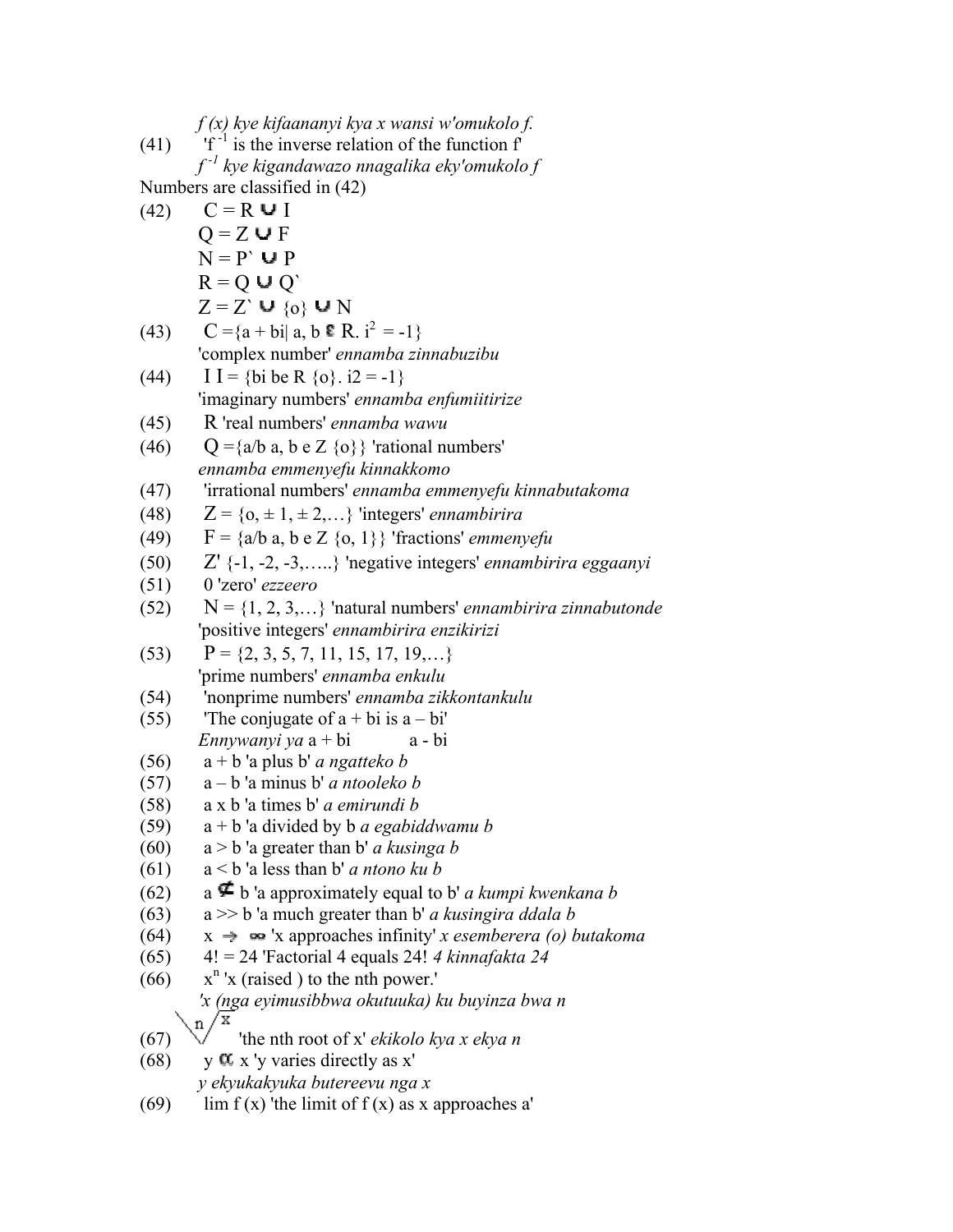*f (x) kye kifaananyi kya x wansi w'omukolo f.* (41)  $\mathbf{f} \cdot \mathbf{f}^{-1}$  is the inverse relation of the function  $\mathbf{f}$ *f -1 kye kigandawazo nnagalika eky'omukolo f* Numbers are classified in (42) (42)  $C = R \cup I$  $Q = Z \cup F$  $N = P' \cup P$  $D = \Omega + \Omega'$ 

$$
K = Q \cup Q
$$
  
Z = Z' \cup {0} \cup N

(43) 
$$
C = \{a + bi | a, b \in R, i^2 = -1\}
$$
  
'complex number' *ennamba zinnabuzibu*

(44) 
$$
I = \{bi \text{ be R } \{o\}, i2 = -1\}
$$
  
 'imaginary numbers' *ennamba enfumitirize*

(45) R 'real numbers' *ennamba wawu*

(46) 
$$
Q = \{a/b \mid a, b \in Z \{o\}\}
$$
'rational numbers'  
ennamba emmenyefu kinnakkomo

(47) 'irrational numbers' *ennamba emmenyefu kinnabutakoma*

(48) 
$$
Z = \{o, \pm 1, \pm 2, \ldots\}
$$
 'integers' *ennambirira*

(49)  $F = \{a/b \ a, b \ e \ Z \ \{o, 1\}\}$  'fractions' *emmenyefu* 

(50) 
$$
Z' \{-1, -2, -3, \ldots\}
$$
 'negative integers' *ennambirira eggaanyi*

$$
(51) \qquad 0 \text{ 'zero' } ezzeero
$$

(52) 
$$
N = \{1, 2, 3, ...\}
$$
 'natural numbers' *ennambirira zinnabutonde*  
'positive integers' *ennambirira enzikirizi*

(53) 
$$
P = \{2, 3, 5, 7, 11, 15, 17, 19, \ldots\}
$$
  
'prime numbers' *ennamba enkulu*

(54) 'nonprime numbers' *ennamba zikkontankulu*

(55) The conjugate of 
$$
a + bi
$$
 is  $a - bi'$   
Ennywanyi ya  $a + bi$   $a - bi$ 

(56) 
$$
a + b'
$$
 a plus b' a *ngatteko b*

$$
(57) \qquad a-b' a minus b' a ntooleko b
$$

$$
(58) \qquad a \times b \text{ 'a times } b' \text{ a emirundi } b
$$

(59) 
$$
a + b
$$
 a divided by b a *egabiddwamu b*

(60) 
$$
a > b'
$$
 a greater than b' a *kusinga b*

(61) 
$$
a < b
$$
 a less than b' a *ntono ku b*

(62) a 
$$
\nabla
$$
 b a approximately equal to b' a kumpi kwenkana b

(63) 
$$
a \gg b
$$
 a much greater than b' a *kusingira ddala b*

- $(64)$  x  $\rightarrow$   $\infty$  'x approaches infinity' *x esemberera (o) butakoma*
- (65) 4! = 24 'Factorial 4 equals 24! *4 kinnafakta 24*

(66) 
$$
x^n
$$
'x (raised) to the nth power.'  
\n'x (nga *eyimusibbwa okutuuka*) ku buyinza bwa n  
\n'x

(67) 'the nth root of x' *ekikolo kya x ekya n*

(68) y 
$$
\alpha
$$
 x'y varies directly as x'  
 *y ekyukakyuka butereevu nga x*

(69) lim f (x) 'the limit of f (x) as x approaches a'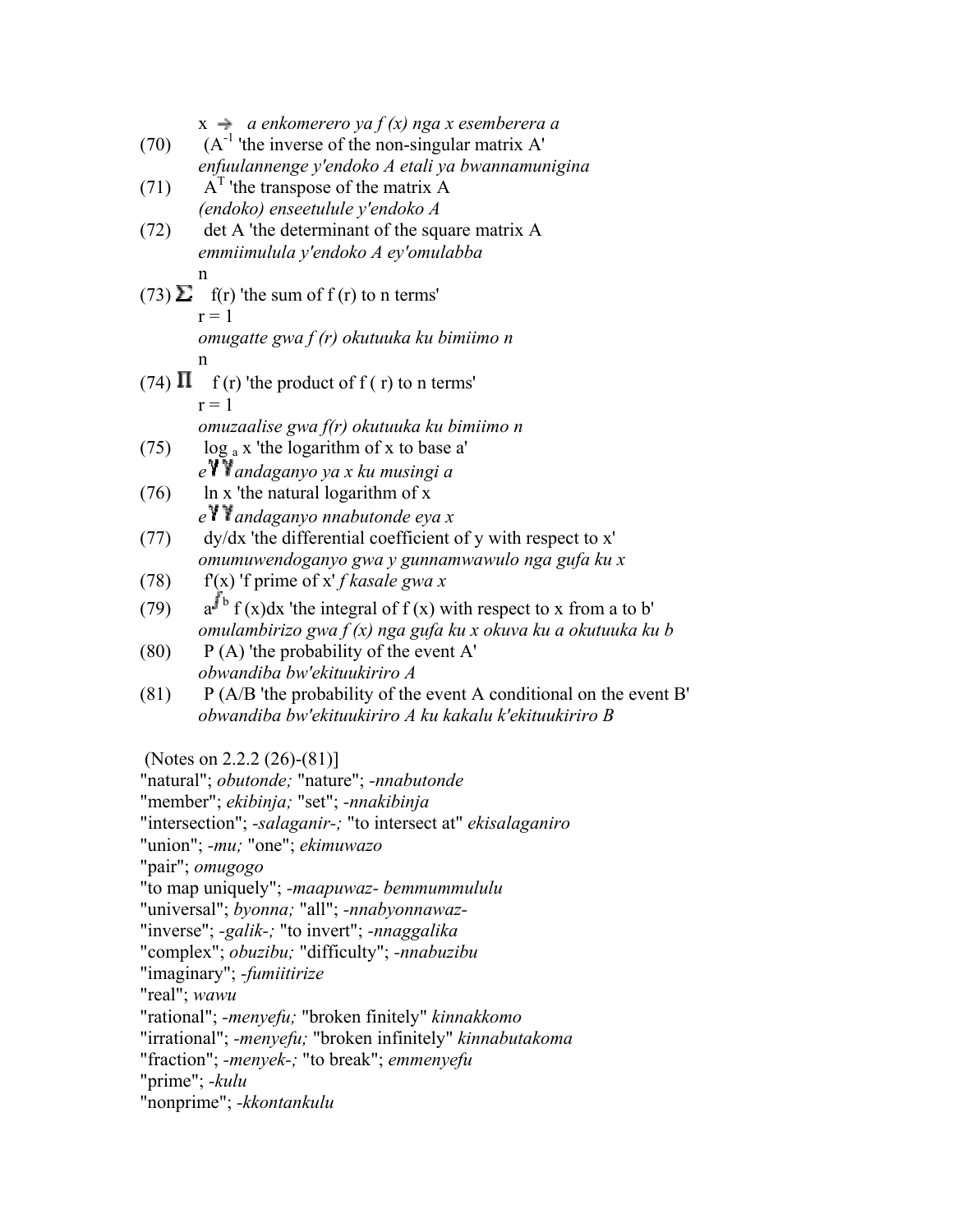|                                                              | $x \rightarrow a$ enkomerero ya $f(x)$ nga x esemberera a                                                                    |  |  |  |  |
|--------------------------------------------------------------|------------------------------------------------------------------------------------------------------------------------------|--|--|--|--|
| (70)                                                         | $(A-1$ 'the inverse of the non-singular matrix A'                                                                            |  |  |  |  |
|                                                              | enfuulannenge y'endoko A etali ya bwannamunigina                                                                             |  |  |  |  |
| (71)                                                         | $AT$ 'the transpose of the matrix A                                                                                          |  |  |  |  |
| (72)                                                         | (endoko) enseetulule y'endoko A<br>det A 'the determinant of the square matrix A                                             |  |  |  |  |
|                                                              | emmiimulula y'endoko A ey'omulabba                                                                                           |  |  |  |  |
|                                                              | n                                                                                                                            |  |  |  |  |
|                                                              | (73) $\Sigma$ f(r) 'the sum of f(r) to n terms'                                                                              |  |  |  |  |
|                                                              | $r = 1$                                                                                                                      |  |  |  |  |
|                                                              | omugatte gwa $f(r)$ okutuuka ku bimiimo n                                                                                    |  |  |  |  |
|                                                              | n                                                                                                                            |  |  |  |  |
|                                                              | (74) $\Pi$ f(r) 'the product of f(r) to n terms'                                                                             |  |  |  |  |
|                                                              | $r = 1$                                                                                                                      |  |  |  |  |
|                                                              | omuzaalise gwa f(r) okutuuka ku bimiimo n                                                                                    |  |  |  |  |
| (75)                                                         | $\log_a x$ 'the logarithm of x to base a'                                                                                    |  |  |  |  |
|                                                              | e V Vandaganyo ya x ku musingi a                                                                                             |  |  |  |  |
| (76)                                                         | In x 'the natural logarithm of x                                                                                             |  |  |  |  |
|                                                              | $eY$ Y andaganyo nnabutonde eya x                                                                                            |  |  |  |  |
| (77)                                                         | dy/dx 'the differential coefficient of y with respect to x'                                                                  |  |  |  |  |
|                                                              | omumuwendoganyo gwa y gunnamwawulo nga gufa ku x                                                                             |  |  |  |  |
| (78)                                                         | $f(x)$ 'f prime of x' f kasale gwa x                                                                                         |  |  |  |  |
| (79)                                                         | $a^{f\,b} f(x) dx$ 'the integral of $f(x)$ with respect to x from a to b'                                                    |  |  |  |  |
|                                                              | omulambirizo gwa $f(x)$ nga gufa ku x okuva ku a okutuuka ku b                                                               |  |  |  |  |
| (80)                                                         | $P(A)$ 'the probability of the event A'                                                                                      |  |  |  |  |
|                                                              | obwandiba bw'ekituukiriro A                                                                                                  |  |  |  |  |
| (81)                                                         | P (A/B 'the probability of the event A conditional on the event B'<br>obwandiba bw'ekituukiriro A ku kakalu k'ekituukiriro B |  |  |  |  |
|                                                              |                                                                                                                              |  |  |  |  |
|                                                              | (Notes on 2.2.2 $(26)$ - $(81)$ ]                                                                                            |  |  |  |  |
|                                                              | "natural"; obutonde; "nature"; -nnabutonde                                                                                   |  |  |  |  |
|                                                              | "member"; ekibinja; "set"; -nnakibinja                                                                                       |  |  |  |  |
| "intersection"; -salaganir-; "to intersect at" ekisalaganiro |                                                                                                                              |  |  |  |  |
|                                                              | "union"; -mu; "one"; ekimuwazo                                                                                               |  |  |  |  |
|                                                              | "pair"; omugogo                                                                                                              |  |  |  |  |
|                                                              | "to map uniquely"; -maapuwaz- bemmummululu                                                                                   |  |  |  |  |
| "universal"; byonna; "all"; -nnabyonnawaz-                   |                                                                                                                              |  |  |  |  |
| "inverse"; -galik-; "to invert"; -nnaggalika                 |                                                                                                                              |  |  |  |  |
| "complex"; <i>obuzibu</i> ; "difficulty"; -nnabuzibu         |                                                                                                                              |  |  |  |  |
| "imaginary"; -fumiitirize                                    |                                                                                                                              |  |  |  |  |
| "real"; wawu                                                 |                                                                                                                              |  |  |  |  |
| "rational"; -menyefu; "broken finitely" kinnakkomo           |                                                                                                                              |  |  |  |  |
| "irrational"; -menyefu; "broken infinitely" kinnabutakoma    |                                                                                                                              |  |  |  |  |
| "fraction"; -menyek-; "to break"; emmenyefu                  |                                                                                                                              |  |  |  |  |
| "prime"; - kulu<br>"nonprime"; - kkontankulu                 |                                                                                                                              |  |  |  |  |
|                                                              |                                                                                                                              |  |  |  |  |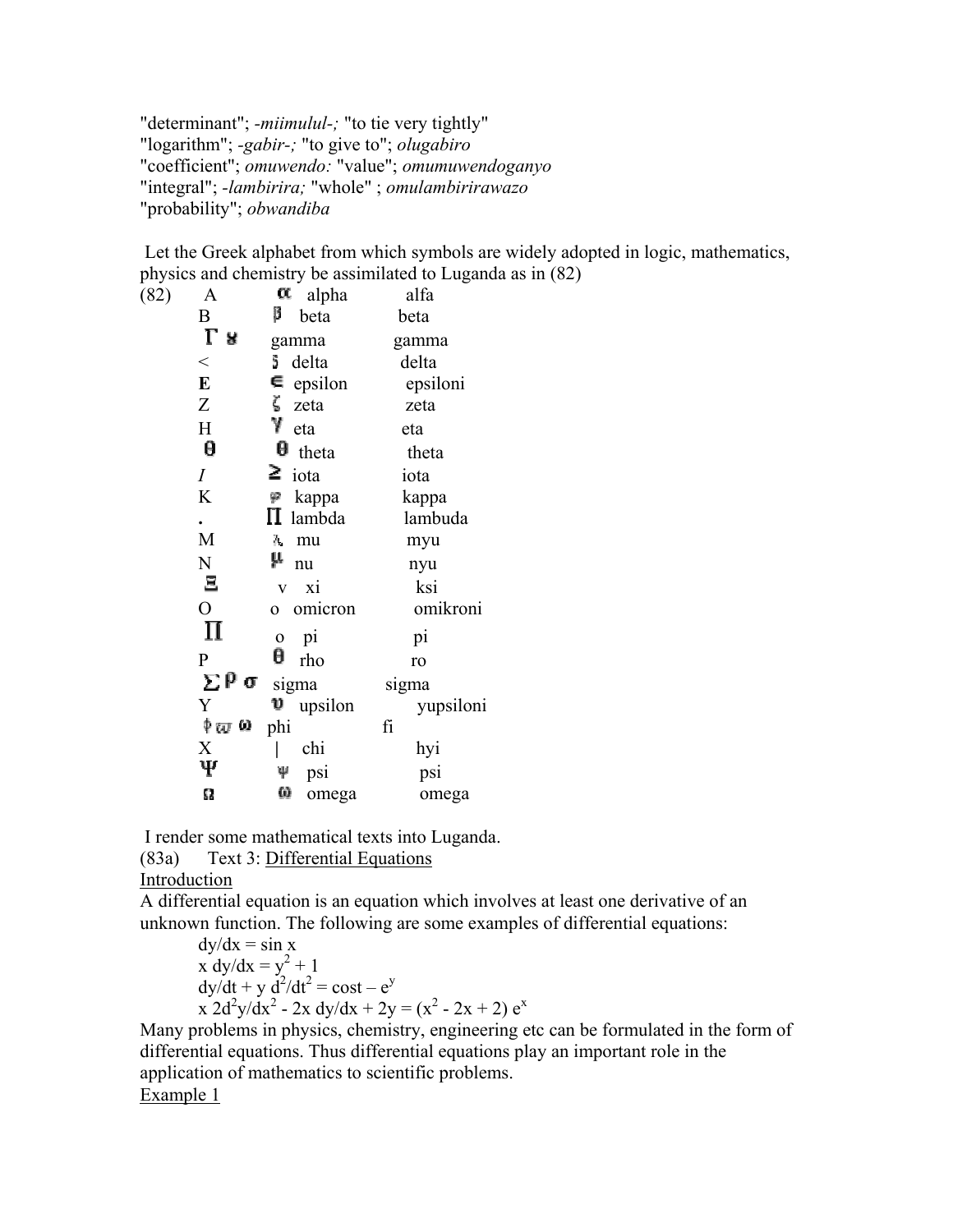"determinant"; *-miimulul-;* "to tie very tightly" "logarithm"; *-gabir-;* "to give to"; *olugabiro* "coefficient"; *omuwendo:* "value"; *omumuwendoganyo* "integral"; *-lambirira;* "whole" ; *omulambirirawazo* "probability"; *obwandiba*

 Let the Greek alphabet from which symbols are widely adopted in logic, mathematics, physics and chemistry be assimilated to Luganda as in (82)

| ı.   |                  |                               |           |
|------|------------------|-------------------------------|-----------|
| (82) | A                | α<br>alpha                    | alfa      |
|      | B                | β<br>beta                     | beta      |
|      | Γ<br>R.          | gamma                         | gamma     |
|      | $\lt$            | õ.<br>delta                   | delta     |
|      | E                | $\epsilon$ epsilon            | epsiloni  |
|      | Z                | $\zeta$ zeta                  | zeta      |
|      | H                | γ<br>eta                      | eta       |
|      | θ                | $\theta$ theta                | theta     |
|      | $\overline{I}$   | $\geq$ iota                   | iota      |
|      | K                | kappa<br>φ                    | kappa     |
|      | ٠                | $\Pi$ lambda                  | lambuda   |
|      | M                | λ,<br>mu                      | myu       |
|      | N                | μ<br>nu                       | nyu       |
|      | $\Xi$            | xi<br>$\overline{\mathbf{V}}$ | ksi       |
|      | $\overline{O}$   | omicron<br>$\overline{O}$     | omikroni  |
|      | П                | pi<br>$\mathbf 0$             | pi        |
|      | $\overline{P}$   | θ<br>rho                      | ro        |
|      | ΣΡσ              | sigma                         | sigma     |
|      | Y                | upsilon                       | yupsiloni |
|      | φ <sub>ω</sub> ω | phi                           | fi        |
|      | X                | chi                           | hyi       |
|      | Ψ                | Ψ<br>psi                      | psi       |
|      | Ω                | ω<br>omega                    | omega     |
|      |                  |                               |           |

I render some mathematical texts into Luganda.

(83a) Text 3: Differential Equations

Introduction

A differential equation is an equation which involves at least one derivative of an unknown function. The following are some examples of differential equations:

dy/dx = sin x x dy/dx = y<sup>2</sup> + 1 dy/dt + y d<sup>2</sup> /dt<sup>2</sup> = cost – e<sup>y</sup> x 2d2 y/dx<sup>2</sup> - 2x dy/dx + 2y = (x<sup>2</sup> - 2x + 2) e<sup>x</sup>

Many problems in physics, chemistry, engineering etc can be formulated in the form of differential equations. Thus differential equations play an important role in the application of mathematics to scientific problems. Example 1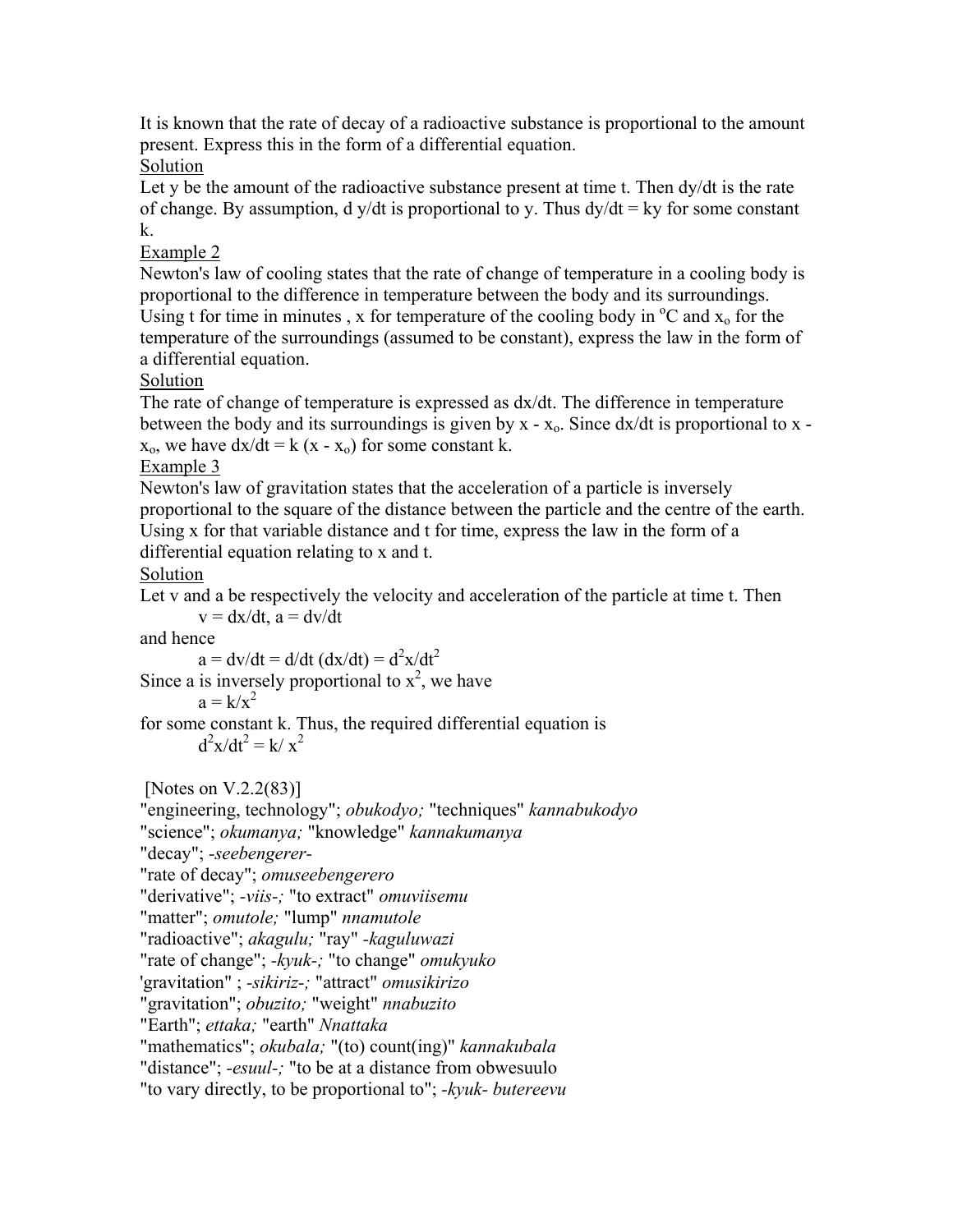It is known that the rate of decay of a radioactive substance is proportional to the amount present. Express this in the form of a differential equation.

### Solution

Let y be the amount of the radioactive substance present at time t. Then dy/dt is the rate of change. By assumption, d y/dt is proportional to y. Thus  $dy/dt = ky$  for some constant k.

## Example 2

Newton's law of cooling states that the rate of change of temperature in a cooling body is proportional to the difference in temperature between the body and its surroundings. Using t for time in minutes, x for temperature of the cooling body in  $\rm{^{\circ}C}$  and  $\rm{x_o}$  for the temperature of the surroundings (assumed to be constant), express the law in the form of a differential equation.

## Solution

The rate of change of temperature is expressed as dx/dt. The difference in temperature between the body and its surroundings is given by  $x - x_0$ . Since  $dx/dt$  is proportional to  $x$  $x_0$ , we have  $dx/dt = k(x - x_0)$  for some constant k.

#### Example 3

Newton's law of gravitation states that the acceleration of a particle is inversely proportional to the square of the distance between the particle and the centre of the earth. Using x for that variable distance and t for time, express the law in the form of a differential equation relating to x and t.

## Solution

Let v and a be respectively the velocity and acceleration of the particle at time t. Then  $v = dx/dt$ ,  $a = dv/dt$ 

and hence

$$
a = dv/dt = d/dt (dx/dt) = d2x/dt2
$$

Since a is inversely proportional to  $x^2$ , we have

$$
a = k/x^2
$$

for some constant k. Thus, the required differential equation is  $d^2x/dt^2 = k/x^2$ 

[Notes on V.2.2(83)]

```
"engineering, technology"; obukodyo; "techniques" kannabukodyo
```
"science"; *okumanya;* "knowledge" *kannakumanya*

"decay"; *-seebengerer-*

```
"rate of decay"; omuseebengerero
```
"derivative"; *-viis-;* "to extract" *omuviisemu*

"matter"; *omutole;* "lump" *nnamutole*

"radioactive"; *akagulu;* "ray" *-kaguluwazi*

"rate of change"; *-kyuk-;* "to change" *omukyuko*

'gravitation" ; *-sikiriz-;* "attract" *omusikirizo*

"gravitation"; *obuzito;* "weight" *nnabuzito*

"Earth"; *ettaka;* "earth" *Nnattaka*

"mathematics"; *okubala;* "(to) count(ing)" *kannakubala*

"distance"; *-esuul-;* "to be at a distance from obwesuulo

"to vary directly, to be proportional to"; *-kyuk- butereevu*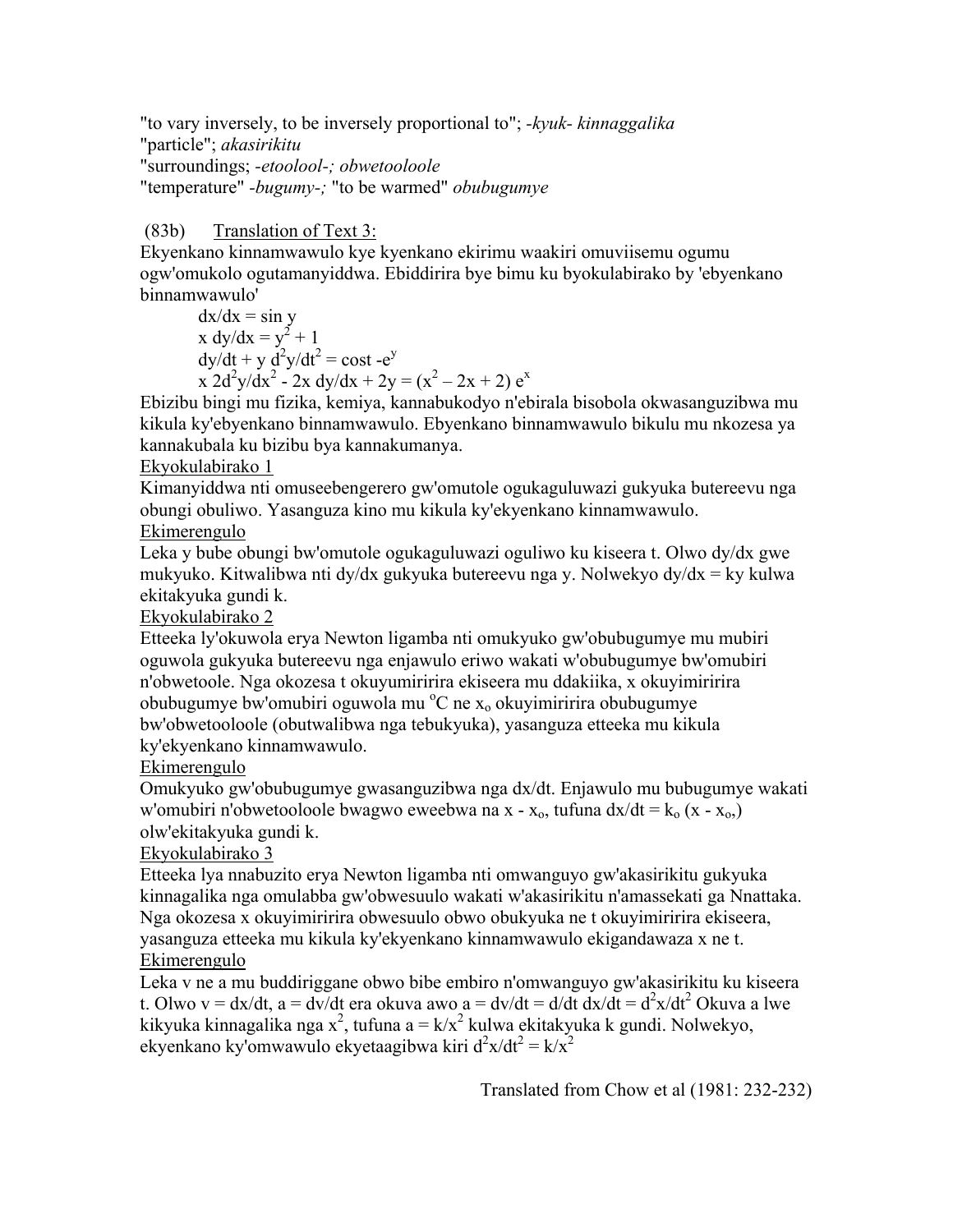"to vary inversely, to be inversely proportional to"; *-kyuk- kinnaggalika* "particle"; *akasirikitu* "surroundings; *-etoolool-; obwetooloole* "temperature" *-bugumy-;* "to be warmed" *obubugumye*

## (83b) Translation of Text 3:

Ekyenkano kinnamwawulo kye kyenkano ekirimu waakiri omuviisemu ogumu ogw'omukolo ogutamanyiddwa. Ebiddirira bye bimu ku byokulabirako by 'ebyenkano binnamwawulo'

 $dx/dx = \sin y$ x  $dy/dx = y^2 + 1$  $dy/dt + y d^2y/dt^2 = \text{cost} - e^y$  $x^{2}d^{2}y/dx^{2} - 2x dy/dx + 2y = (x^{2} - 2x + 2) e^{x}$ 

Ebizibu bingi mu fizika, kemiya, kannabukodyo n'ebirala bisobola okwasanguzibwa mu kikula ky'ebyenkano binnamwawulo. Ebyenkano binnamwawulo bikulu mu nkozesa ya kannakubala ku bizibu bya kannakumanya.

#### Ekyokulabirako 1

Kimanyiddwa nti omuseebengerero gw'omutole ogukaguluwazi gukyuka butereevu nga obungi obuliwo. Yasanguza kino mu kikula ky'ekyenkano kinnamwawulo.

## Ekimerengulo

Leka y bube obungi bw'omutole ogukaguluwazi oguliwo ku kiseera t. Olwo dy/dx gwe mukyuko. Kitwalibwa nti dy/dx gukyuka butereevu nga y. Nolwekyo dy/dx = ky kulwa ekitakyuka gundi k.

Ekyokulabirako 2

Etteeka ly'okuwola erya Newton ligamba nti omukyuko gw'obubugumye mu mubiri oguwola gukyuka butereevu nga enjawulo eriwo wakati w'obubugumye bw'omubiri n'obwetoole. Nga okozesa t okuyumiririra ekiseera mu ddakiika, x okuyimiririra obubugumye bw'omubiri oguwola mu <sup>o</sup>C ne x<sub>o</sub> okuyimiririra obubugumye bw'obwetooloole (obutwalibwa nga tebukyuka), yasanguza etteeka mu kikula ky'ekyenkano kinnamwawulo.

### Ekimerengulo

Omukyuko gw'obubugumye gwasanguzibwa nga dx/dt. Enjawulo mu bubugumye wakati w'omubiri n'obwetooloole bwagwo eweebwa na  $x - x_0$ , tufuna  $dx/dt = k_0 (x - x_0)$ olw'ekitakyuka gundi k.

#### Ekyokulabirako 3

Etteeka lya nnabuzito erya Newton ligamba nti omwanguyo gw'akasirikitu gukyuka kinnagalika nga omulabba gw'obwesuulo wakati w'akasirikitu n'amassekati ga Nnattaka. Nga okozesa x okuyimiririra obwesuulo obwo obukyuka ne t okuyimiririra ekiseera, yasanguza etteeka mu kikula ky'ekyenkano kinnamwawulo ekigandawaza x ne t. Ekimerengulo

Leka v ne a mu buddiriggane obwo bibe embiro n'omwanguyo gw'akasirikitu ku kiseera t. Olwo v = dx/dt, a = dv/dt era okuva awo a = dv/dt = d/dt dx/dt = d<sup>2</sup>x/dt<sup>2</sup> Okuva a lwe kikyuka kinnagalika nga x<sup>2</sup>, tufuna a = k/x<sup>2</sup> kulwa ekitakyuka k gundi. Nolwekyo, ekyenkano ky'omwawulo ekyetaagibwa kiri  $d^2x/dt^2 = k/x^2$ 

Translated from Chow et al (1981: 232-232)